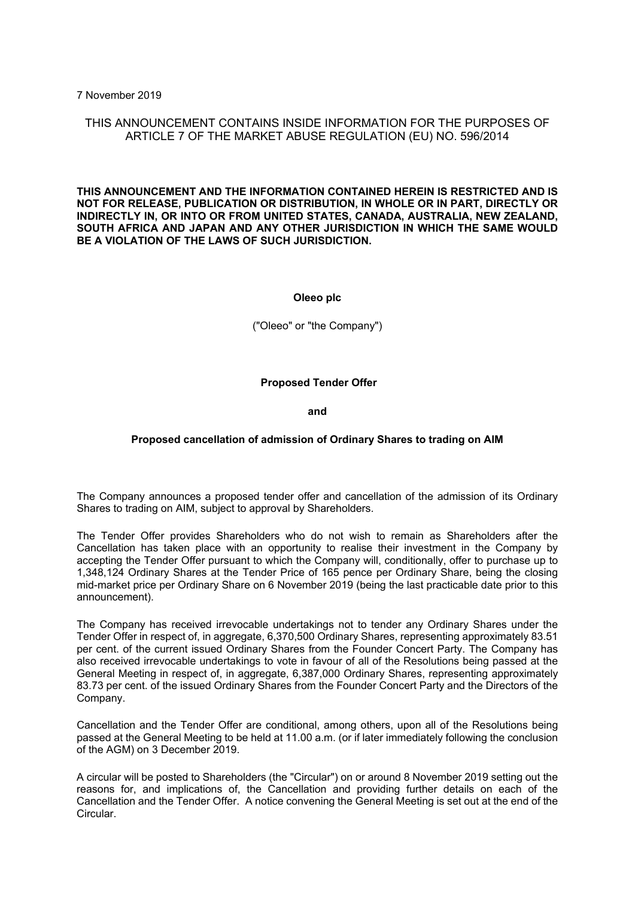7 November 2019

# THIS ANNOUNCEMENT CONTAINS INSIDE INFORMATION FOR THE PURPOSES OF ARTICLE 7 OF THE MARKET ABUSE REGULATION (EU) NO. 596/2014

**THIS ANNOUNCEMENT AND THE INFORMATION CONTAINED HEREIN IS RESTRICTED AND IS NOT FOR RELEASE, PUBLICATION OR DISTRIBUTION, IN WHOLE OR IN PART, DIRECTLY OR INDIRECTLY IN, OR INTO OR FROM UNITED STATES, CANADA, AUSTRALIA, NEW ZEALAND, SOUTH AFRICA AND JAPAN AND ANY OTHER JURISDICTION IN WHICH THE SAME WOULD BE A VIOLATION OF THE LAWS OF SUCH JURISDICTION.**

**Oleeo plc**

("Oleeo" or "the Company")

**Proposed Tender Offer**

**and**

## **Proposed cancellation of admission of Ordinary Shares to trading on AIM**

The Company announces a proposed tender offer and cancellation of the admission of its Ordinary Shares to trading on AIM, subject to approval by Shareholders.

The Tender Offer provides Shareholders who do not wish to remain as Shareholders after the Cancellation has taken place with an opportunity to realise their investment in the Company by accepting the Tender Offer pursuant to which the Company will, conditionally, offer to purchase up to 1,348,124 Ordinary Shares at the Tender Price of 165 pence per Ordinary Share, being the closing mid-market price per Ordinary Share on 6 November 2019 (being the last practicable date prior to this announcement).

The Company has received irrevocable undertakings not to tender any Ordinary Shares under the Tender Offer in respect of, in aggregate, 6,370,500 Ordinary Shares, representing approximately 83.51 per cent. of the current issued Ordinary Shares from the Founder Concert Party. The Company has also received irrevocable undertakings to vote in favour of all of the Resolutions being passed at the General Meeting in respect of, in aggregate, 6,387,000 Ordinary Shares, representing approximately 83.73 per cent. of the issued Ordinary Shares from the Founder Concert Party and the Directors of the Company.

Cancellation and the Tender Offer are conditional, among others, upon all of the Resolutions being passed at the General Meeting to be held at 11.00 a.m. (or if later immediately following the conclusion of the AGM) on 3 December 2019.

A circular will be posted to Shareholders (the "Circular") on or around 8 November 2019 setting out the reasons for, and implications of, the Cancellation and providing further details on each of the Cancellation and the Tender Offer. A notice convening the General Meeting is set out at the end of the Circular.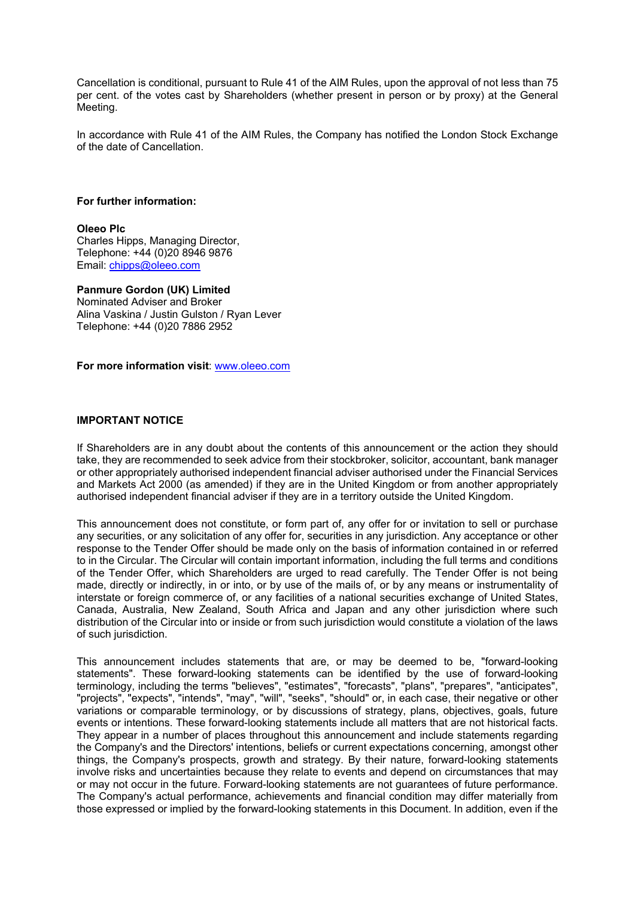Cancellation is conditional, pursuant to Rule 41 of the AIM Rules, upon the approval of not less than 75 per cent. of the votes cast by Shareholders (whether present in person or by proxy) at the General Meeting.

In accordance with Rule 41 of the AIM Rules, the Company has notified the London Stock Exchange of the date of Cancellation.

#### **For further information:**

## **Oleeo Plc**

Charles Hipps, Managing Director, Telephone: +44 (0)20 8946 9876 Email: [chipps@oleeo.com](mailto:chipps@oleeo.com)

## **Panmure Gordon (UK) Limited**

Nominated Adviser and Broker Alina Vaskina / Justin Gulston / Ryan Lever Telephone: +44 (0)20 7886 2952

**For more information visit**: [www.oleeo.com](http://www.oleeo.com/)

## **IMPORTANT NOTICE**

If Shareholders are in any doubt about the contents of this announcement or the action they should take, they are recommended to seek advice from their stockbroker, solicitor, accountant, bank manager or other appropriately authorised independent financial adviser authorised under the Financial Services and Markets Act 2000 (as amended) if they are in the United Kingdom or from another appropriately authorised independent financial adviser if they are in a territory outside the United Kingdom.

This announcement does not constitute, or form part of, any offer for or invitation to sell or purchase any securities, or any solicitation of any offer for, securities in any jurisdiction. Any acceptance or other response to the Tender Offer should be made only on the basis of information contained in or referred to in the Circular. The Circular will contain important information, including the full terms and conditions of the Tender Offer, which Shareholders are urged to read carefully. The Tender Offer is not being made, directly or indirectly, in or into, or by use of the mails of, or by any means or instrumentality of interstate or foreign commerce of, or any facilities of a national securities exchange of United States, Canada, Australia, New Zealand, South Africa and Japan and any other jurisdiction where such distribution of the Circular into or inside or from such jurisdiction would constitute a violation of the laws of such jurisdiction.

This announcement includes statements that are, or may be deemed to be, "forward-looking statements". These forward-looking statements can be identified by the use of forward-looking terminology, including the terms "believes", "estimates", "forecasts", "plans", "prepares", "anticipates", "projects", "expects", "intends", "may", "will", "seeks", "should" or, in each case, their negative or other variations or comparable terminology, or by discussions of strategy, plans, objectives, goals, future events or intentions. These forward-looking statements include all matters that are not historical facts. They appear in a number of places throughout this announcement and include statements regarding the Company's and the Directors' intentions, beliefs or current expectations concerning, amongst other things, the Company's prospects, growth and strategy. By their nature, forward-looking statements involve risks and uncertainties because they relate to events and depend on circumstances that may or may not occur in the future. Forward-looking statements are not guarantees of future performance. The Company's actual performance, achievements and financial condition may differ materially from those expressed or implied by the forward-looking statements in this Document. In addition, even if the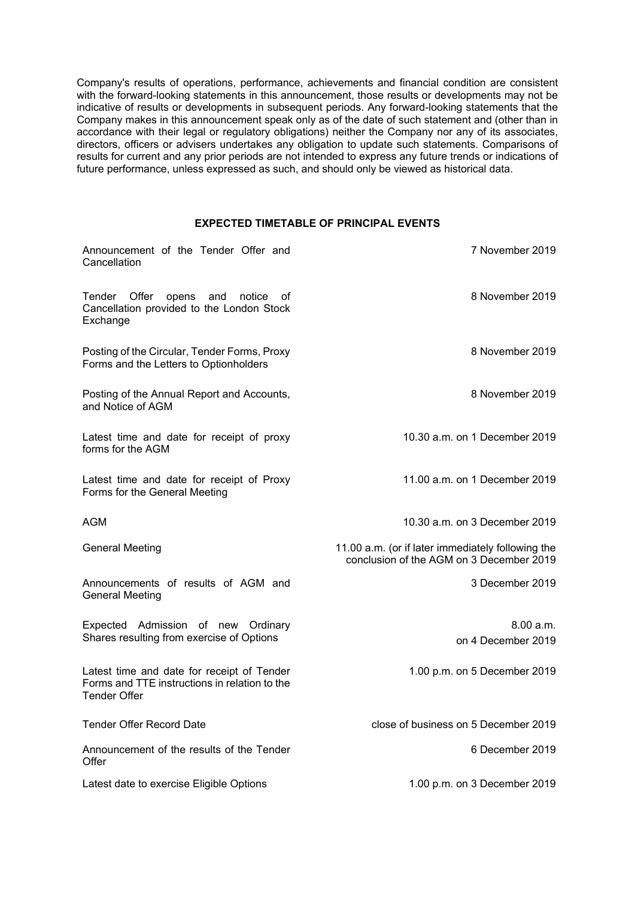Company's results of operations, performance, achievements and financial condition are consistent with the forward-looking statements in this announcement, those results or developments may not be indicative of results or developments in subsequent periods. Any forward-looking statements that the Company makes in this announcement speak only as of the date of such statement and (other than in accordance with their legal or regulatory obligations) neither the Company nor any of its associates, directors, officers or advisers undertakes any obligation to update such statements. Comparisons of results for current and any prior periods are not intended to express any future trends or indications of future performance, unless expressed as such, and should only be viewed as historical data.

# **EXPECTED TIMETABLE OF PRINCIPAL EVENTS**

| Announcement of the Tender Offer and<br>Cancellation                                                               | 7 November 2019                                                                               |
|--------------------------------------------------------------------------------------------------------------------|-----------------------------------------------------------------------------------------------|
| Tender Offer<br>opens and<br>notice<br>οf<br>Cancellation provided to the London Stock<br>Exchange                 | 8 November 2019                                                                               |
| Posting of the Circular, Tender Forms, Proxy<br>Forms and the Letters to Optionholders                             | 8 November 2019                                                                               |
| Posting of the Annual Report and Accounts,<br>and Notice of AGM                                                    | 8 November 2019                                                                               |
| Latest time and date for receipt of proxy<br>forms for the AGM                                                     | 10.30 a.m. on 1 December 2019                                                                 |
| Latest time and date for receipt of Proxy<br>Forms for the General Meeting                                         | 11.00 a.m. on 1 December 2019                                                                 |
| AGM                                                                                                                | 10.30 a.m. on 3 December 2019                                                                 |
| <b>General Meeting</b>                                                                                             | 11.00 a.m. (or if later immediately following the<br>conclusion of the AGM on 3 December 2019 |
| Announcements of results of AGM and<br><b>General Meeting</b>                                                      | 3 December 2019                                                                               |
| Expected Admission of new Ordinary<br>Shares resulting from exercise of Options                                    | 8.00 a.m.<br>on 4 December 2019                                                               |
| Latest time and date for receipt of Tender<br>Forms and TTE instructions in relation to the<br><b>Tender Offer</b> | 1.00 p.m. on 5 December 2019                                                                  |
| <b>Tender Offer Record Date</b>                                                                                    | close of business on 5 December 2019                                                          |
| Announcement of the results of the Tender<br>Offer                                                                 | 6 December 2019                                                                               |
| Latest date to exercise Eligible Options                                                                           | 1.00 p.m. on 3 December 2019                                                                  |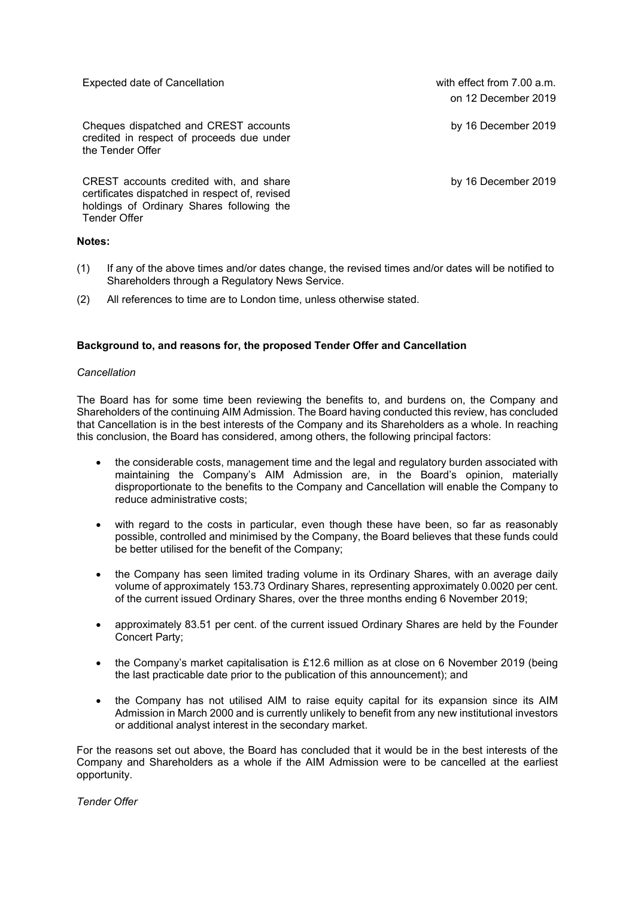Expected date of Cancellation expected date of Cancellation with effect from 7.00 a.m.

Cheques dispatched and CREST accounts credited in respect of proceeds due under the Tender Offer

CREST accounts credited with, and share certificates dispatched in respect of, revised holdings of Ordinary Shares following the Tender Offer

## **Notes:**

- (1) If any of the above times and/or dates change, the revised times and/or dates will be notified to Shareholders through a Regulatory News Service.
- (2) All references to time are to London time, unless otherwise stated.

# **Background to, and reasons for, the proposed Tender Offer and Cancellation**

## *Cancellation*

The Board has for some time been reviewing the benefits to, and burdens on, the Company and Shareholders of the continuing AIM Admission. The Board having conducted this review, has concluded that Cancellation is in the best interests of the Company and its Shareholders as a whole. In reaching this conclusion, the Board has considered, among others, the following principal factors:

- the considerable costs, management time and the legal and regulatory burden associated with maintaining the Company's AIM Admission are, in the Board's opinion, materially disproportionate to the benefits to the Company and Cancellation will enable the Company to reduce administrative costs;
- with regard to the costs in particular, even though these have been, so far as reasonably possible, controlled and minimised by the Company, the Board believes that these funds could be better utilised for the benefit of the Company;
- the Company has seen limited trading volume in its Ordinary Shares, with an average daily volume of approximately 153.73 Ordinary Shares, representing approximately 0.0020 per cent. of the current issued Ordinary Shares, over the three months ending 6 November 2019;
- approximately 83.51 per cent. of the current issued Ordinary Shares are held by the Founder Concert Party;
- the Company's market capitalisation is £12.6 million as at close on 6 November 2019 (being the last practicable date prior to the publication of this announcement); and
- the Company has not utilised AIM to raise equity capital for its expansion since its AIM Admission in March 2000 and is currently unlikely to benefit from any new institutional investors or additional analyst interest in the secondary market.

For the reasons set out above, the Board has concluded that it would be in the best interests of the Company and Shareholders as a whole if the AIM Admission were to be cancelled at the earliest opportunity.

*Tender Offer*

on 12 December 2019

by 16 December 2019

by 16 December 2019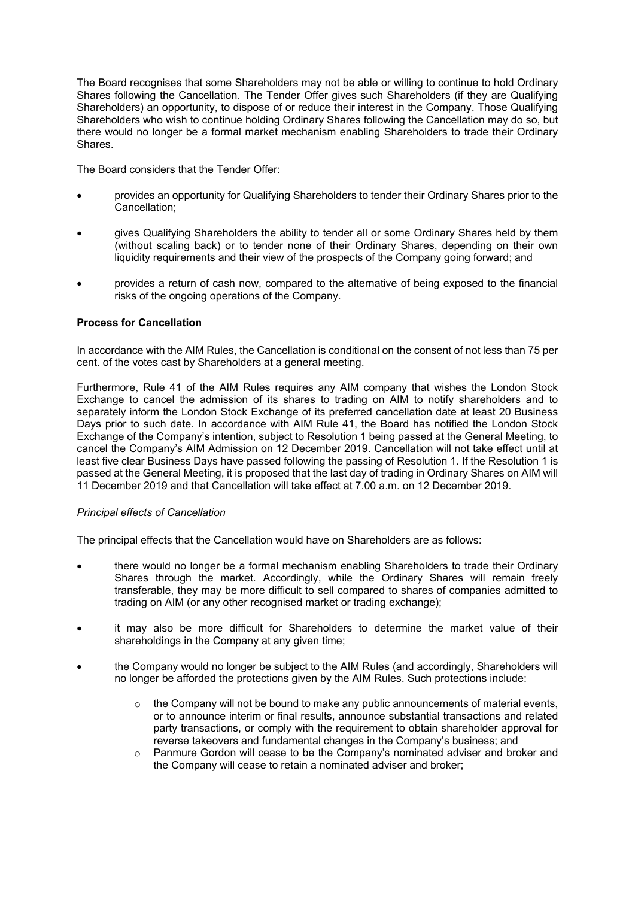The Board recognises that some Shareholders may not be able or willing to continue to hold Ordinary Shares following the Cancellation. The Tender Offer gives such Shareholders (if they are Qualifying Shareholders) an opportunity, to dispose of or reduce their interest in the Company. Those Qualifying Shareholders who wish to continue holding Ordinary Shares following the Cancellation may do so, but there would no longer be a formal market mechanism enabling Shareholders to trade their Ordinary Shares.

The Board considers that the Tender Offer:

- provides an opportunity for Qualifying Shareholders to tender their Ordinary Shares prior to the Cancellation;
- gives Qualifying Shareholders the ability to tender all or some Ordinary Shares held by them (without scaling back) or to tender none of their Ordinary Shares, depending on their own liquidity requirements and their view of the prospects of the Company going forward; and
- provides a return of cash now, compared to the alternative of being exposed to the financial risks of the ongoing operations of the Company.

# **Process for Cancellation**

In accordance with the AIM Rules, the Cancellation is conditional on the consent of not less than 75 per cent. of the votes cast by Shareholders at a general meeting.

Furthermore, Rule 41 of the AIM Rules requires any AIM company that wishes the London Stock Exchange to cancel the admission of its shares to trading on AIM to notify shareholders and to separately inform the London Stock Exchange of its preferred cancellation date at least 20 Business Days prior to such date. In accordance with AIM Rule 41, the Board has notified the London Stock Exchange of the Company's intention, subject to Resolution 1 being passed at the General Meeting, to cancel the Company's AIM Admission on 12 December 2019. Cancellation will not take effect until at least five clear Business Days have passed following the passing of Resolution 1. If the Resolution 1 is passed at the General Meeting, it is proposed that the last day of trading in Ordinary Shares on AIM will 11 December 2019 and that Cancellation will take effect at 7.00 a.m. on 12 December 2019.

## *Principal effects of Cancellation*

The principal effects that the Cancellation would have on Shareholders are as follows:

- there would no longer be a formal mechanism enabling Shareholders to trade their Ordinary Shares through the market. Accordingly, while the Ordinary Shares will remain freely transferable, they may be more difficult to sell compared to shares of companies admitted to trading on AIM (or any other recognised market or trading exchange);
- it may also be more difficult for Shareholders to determine the market value of their shareholdings in the Company at any given time:
- the Company would no longer be subject to the AIM Rules (and accordingly, Shareholders will no longer be afforded the protections given by the AIM Rules. Such protections include:
	- $\circ$  the Company will not be bound to make any public announcements of material events, or to announce interim or final results, announce substantial transactions and related party transactions, or comply with the requirement to obtain shareholder approval for reverse takeovers and fundamental changes in the Company's business; and
	- o Panmure Gordon will cease to be the Company's nominated adviser and broker and the Company will cease to retain a nominated adviser and broker;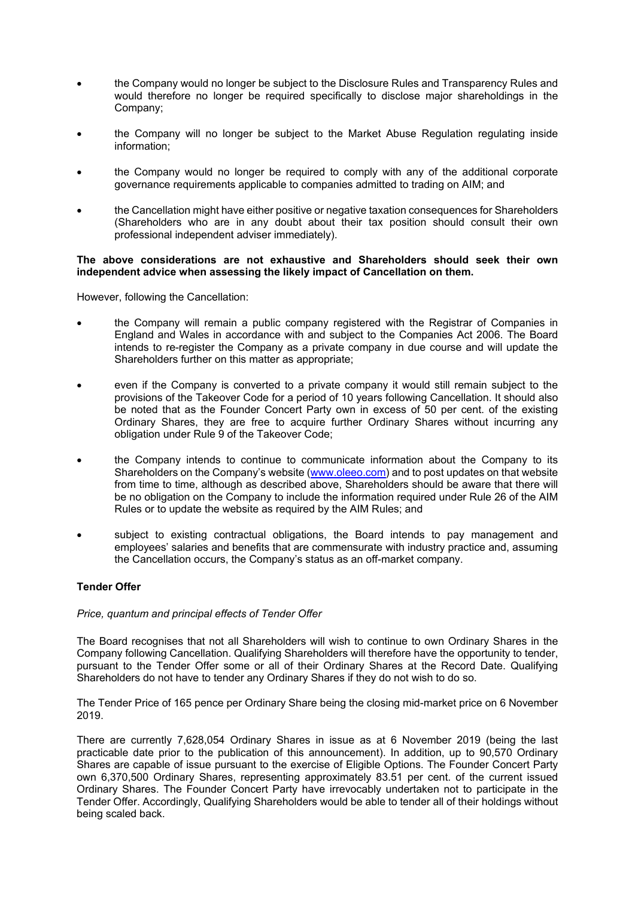- the Company would no longer be subject to the Disclosure Rules and Transparency Rules and would therefore no longer be required specifically to disclose major shareholdings in the Company;
- the Company will no longer be subject to the Market Abuse Regulation regulating inside information;
- the Company would no longer be required to comply with any of the additional corporate governance requirements applicable to companies admitted to trading on AIM; and
- the Cancellation might have either positive or negative taxation consequences for Shareholders (Shareholders who are in any doubt about their tax position should consult their own professional independent adviser immediately).

## **The above considerations are not exhaustive and Shareholders should seek their own independent advice when assessing the likely impact of Cancellation on them.**

However, following the Cancellation:

- the Company will remain a public company registered with the Registrar of Companies in England and Wales in accordance with and subject to the Companies Act 2006. The Board intends to re-register the Company as a private company in due course and will update the Shareholders further on this matter as appropriate;
- even if the Company is converted to a private company it would still remain subject to the provisions of the Takeover Code for a period of 10 years following Cancellation. It should also be noted that as the Founder Concert Party own in excess of 50 per cent. of the existing Ordinary Shares, they are free to acquire further Ordinary Shares without incurring any obligation under Rule 9 of the Takeover Code;
- the Company intends to continue to communicate information about the Company to its Shareholders on the Company's website [\(www.oleeo.com\)](http://www.oleeo.com/) and to post updates on that website from time to time, although as described above, Shareholders should be aware that there will be no obligation on the Company to include the information required under Rule 26 of the AIM Rules or to update the website as required by the AIM Rules; and
- subject to existing contractual obligations, the Board intends to pay management and employees' salaries and benefits that are commensurate with industry practice and, assuming the Cancellation occurs, the Company's status as an off-market company.

# **Tender Offer**

## *Price, quantum and principal effects of Tender Offer*

The Board recognises that not all Shareholders will wish to continue to own Ordinary Shares in the Company following Cancellation. Qualifying Shareholders will therefore have the opportunity to tender, pursuant to the Tender Offer some or all of their Ordinary Shares at the Record Date. Qualifying Shareholders do not have to tender any Ordinary Shares if they do not wish to do so.

The Tender Price of 165 pence per Ordinary Share being the closing mid-market price on 6 November 2019.

There are currently 7,628,054 Ordinary Shares in issue as at 6 November 2019 (being the last practicable date prior to the publication of this announcement). In addition, up to 90,570 Ordinary Shares are capable of issue pursuant to the exercise of Eligible Options. The Founder Concert Party own 6,370,500 Ordinary Shares, representing approximately 83.51 per cent. of the current issued Ordinary Shares. The Founder Concert Party have irrevocably undertaken not to participate in the Tender Offer. Accordingly, Qualifying Shareholders would be able to tender all of their holdings without being scaled back.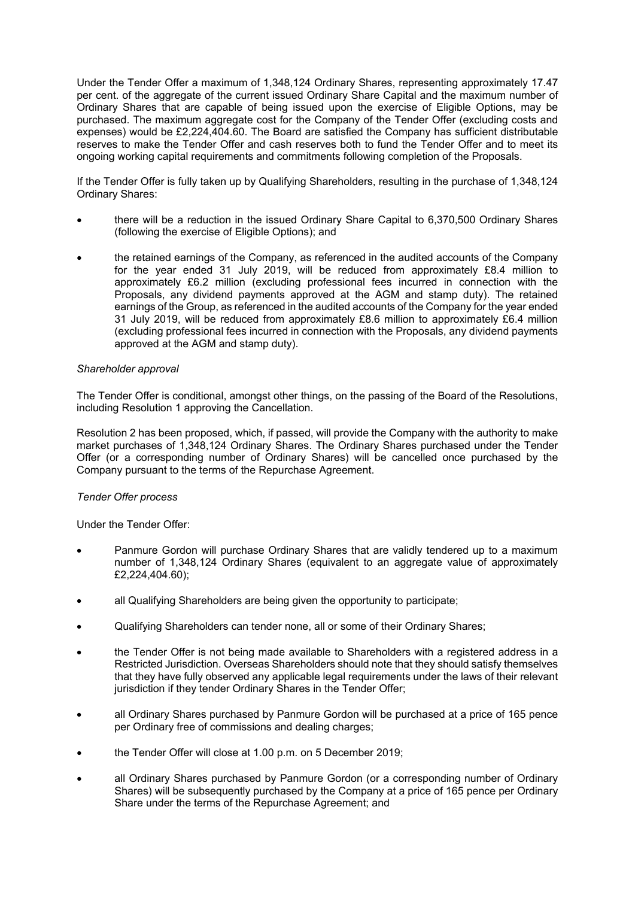Under the Tender Offer a maximum of 1,348,124 Ordinary Shares, representing approximately 17.47 per cent. of the aggregate of the current issued Ordinary Share Capital and the maximum number of Ordinary Shares that are capable of being issued upon the exercise of Eligible Options, may be purchased. The maximum aggregate cost for the Company of the Tender Offer (excluding costs and expenses) would be £2,224,404.60. The Board are satisfied the Company has sufficient distributable reserves to make the Tender Offer and cash reserves both to fund the Tender Offer and to meet its ongoing working capital requirements and commitments following completion of the Proposals.

If the Tender Offer is fully taken up by Qualifying Shareholders, resulting in the purchase of 1,348,124 Ordinary Shares:

- there will be a reduction in the issued Ordinary Share Capital to 6,370,500 Ordinary Shares (following the exercise of Eligible Options); and
- the retained earnings of the Company, as referenced in the audited accounts of the Company for the year ended 31 July 2019, will be reduced from approximately £8.4 million to approximately £6.2 million (excluding professional fees incurred in connection with the Proposals, any dividend payments approved at the AGM and stamp duty). The retained earnings of the Group, as referenced in the audited accounts of the Company for the year ended 31 July 2019, will be reduced from approximately £8.6 million to approximately £6.4 million (excluding professional fees incurred in connection with the Proposals, any dividend payments approved at the AGM and stamp duty).

## *Shareholder approval*

The Tender Offer is conditional, amongst other things, on the passing of the Board of the Resolutions, including Resolution 1 approving the Cancellation.

Resolution 2 has been proposed, which, if passed, will provide the Company with the authority to make market purchases of 1,348,124 Ordinary Shares. The Ordinary Shares purchased under the Tender Offer (or a corresponding number of Ordinary Shares) will be cancelled once purchased by the Company pursuant to the terms of the Repurchase Agreement.

## *Tender Offer process*

Under the Tender Offer:

- Panmure Gordon will purchase Ordinary Shares that are validly tendered up to a maximum number of 1,348,124 Ordinary Shares (equivalent to an aggregate value of approximately £2,224,404.60);
- all Qualifying Shareholders are being given the opportunity to participate;
- Qualifying Shareholders can tender none, all or some of their Ordinary Shares;
- the Tender Offer is not being made available to Shareholders with a registered address in a Restricted Jurisdiction. Overseas Shareholders should note that they should satisfy themselves that they have fully observed any applicable legal requirements under the laws of their relevant jurisdiction if they tender Ordinary Shares in the Tender Offer;
- all Ordinary Shares purchased by Panmure Gordon will be purchased at a price of 165 pence per Ordinary free of commissions and dealing charges;
- the Tender Offer will close at 1.00 p.m. on 5 December 2019;
- all Ordinary Shares purchased by Panmure Gordon (or a corresponding number of Ordinary Shares) will be subsequently purchased by the Company at a price of 165 pence per Ordinary Share under the terms of the Repurchase Agreement; and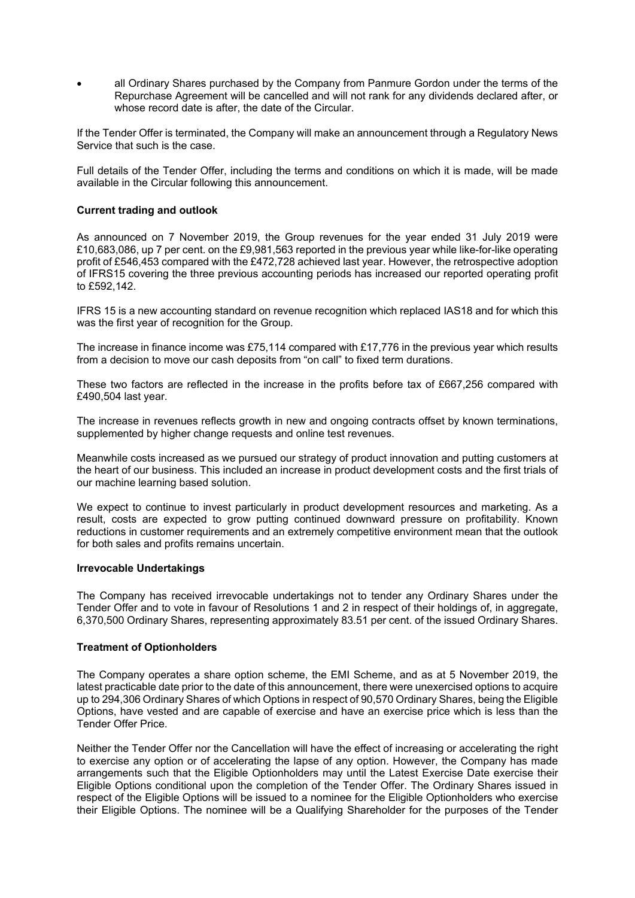• all Ordinary Shares purchased by the Company from Panmure Gordon under the terms of the Repurchase Agreement will be cancelled and will not rank for any dividends declared after, or whose record date is after, the date of the Circular.

If the Tender Offer is terminated, the Company will make an announcement through a Regulatory News Service that such is the case.

Full details of the Tender Offer, including the terms and conditions on which it is made, will be made available in the Circular following this announcement.

## **Current trading and outlook**

As announced on 7 November 2019, the Group revenues for the year ended 31 July 2019 were £10,683,086, up 7 per cent. on the £9,981,563 reported in the previous year while like-for-like operating profit of £546,453 compared with the £472,728 achieved last year. However, the retrospective adoption of IFRS15 covering the three previous accounting periods has increased our reported operating profit to £592,142.

IFRS 15 is a new accounting standard on revenue recognition which replaced IAS18 and for which this was the first year of recognition for the Group.

The increase in finance income was £75,114 compared with £17,776 in the previous year which results from a decision to move our cash deposits from "on call" to fixed term durations.

These two factors are reflected in the increase in the profits before tax of £667,256 compared with £490,504 last year.

The increase in revenues reflects growth in new and ongoing contracts offset by known terminations, supplemented by higher change requests and online test revenues.

Meanwhile costs increased as we pursued our strategy of product innovation and putting customers at the heart of our business. This included an increase in product development costs and the first trials of our machine learning based solution.

We expect to continue to invest particularly in product development resources and marketing. As a result, costs are expected to grow putting continued downward pressure on profitability. Known reductions in customer requirements and an extremely competitive environment mean that the outlook for both sales and profits remains uncertain.

## **Irrevocable Undertakings**

The Company has received irrevocable undertakings not to tender any Ordinary Shares under the Tender Offer and to vote in favour of Resolutions 1 and 2 in respect of their holdings of, in aggregate, 6,370,500 Ordinary Shares, representing approximately 83.51 per cent. of the issued Ordinary Shares.

## **Treatment of Optionholders**

The Company operates a share option scheme, the EMI Scheme, and as at 5 November 2019, the latest practicable date prior to the date of this announcement, there were unexercised options to acquire up to 294,306 Ordinary Shares of which Options in respect of 90,570 Ordinary Shares, being the Eligible Options, have vested and are capable of exercise and have an exercise price which is less than the Tender Offer Price.

Neither the Tender Offer nor the Cancellation will have the effect of increasing or accelerating the right to exercise any option or of accelerating the lapse of any option. However, the Company has made arrangements such that the Eligible Optionholders may until the Latest Exercise Date exercise their Eligible Options conditional upon the completion of the Tender Offer. The Ordinary Shares issued in respect of the Eligible Options will be issued to a nominee for the Eligible Optionholders who exercise their Eligible Options. The nominee will be a Qualifying Shareholder for the purposes of the Tender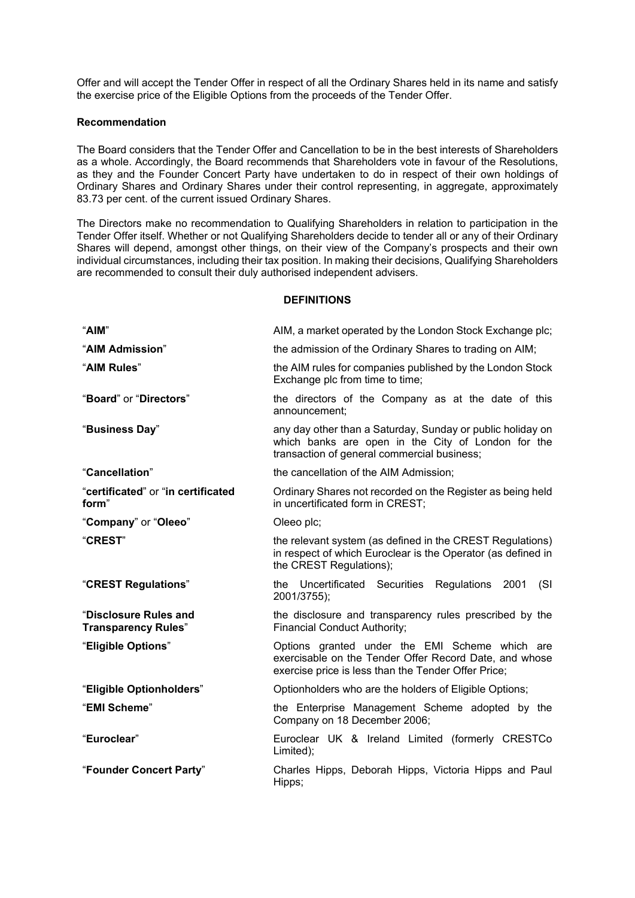Offer and will accept the Tender Offer in respect of all the Ordinary Shares held in its name and satisfy the exercise price of the Eligible Options from the proceeds of the Tender Offer.

## **Recommendation**

The Board considers that the Tender Offer and Cancellation to be in the best interests of Shareholders as a whole. Accordingly, the Board recommends that Shareholders vote in favour of the Resolutions, as they and the Founder Concert Party have undertaken to do in respect of their own holdings of Ordinary Shares and Ordinary Shares under their control representing, in aggregate, approximately 83.73 per cent. of the current issued Ordinary Shares.

The Directors make no recommendation to Qualifying Shareholders in relation to participation in the Tender Offer itself. Whether or not Qualifying Shareholders decide to tender all or any of their Ordinary Shares will depend, amongst other things, on their view of the Company's prospects and their own individual circumstances, including their tax position. In making their decisions, Qualifying Shareholders are recommended to consult their duly authorised independent advisers.

## **DEFINITIONS**

| "AIM"                                               | AIM, a market operated by the London Stock Exchange plc;                                                                                                        |
|-----------------------------------------------------|-----------------------------------------------------------------------------------------------------------------------------------------------------------------|
| "AIM Admission"                                     | the admission of the Ordinary Shares to trading on AIM;                                                                                                         |
| "AIM Rules"                                         | the AIM rules for companies published by the London Stock<br>Exchange plc from time to time;                                                                    |
| "Board" or "Directors"                              | the directors of the Company as at the date of this<br>announcement:                                                                                            |
| "Business Day"                                      | any day other than a Saturday, Sunday or public holiday on<br>which banks are open in the City of London for the<br>transaction of general commercial business; |
| "Cancellation"                                      | the cancellation of the AIM Admission;                                                                                                                          |
| "certificated" or "in certificated<br>form"         | Ordinary Shares not recorded on the Register as being held<br>in uncertificated form in CREST;                                                                  |
| "Company" or "Oleeo"                                | Oleeo plc;                                                                                                                                                      |
| "CREST"                                             | the relevant system (as defined in the CREST Regulations)<br>in respect of which Euroclear is the Operator (as defined in<br>the CREST Regulations);            |
| "CREST Regulations"                                 | the Uncertificated Securities Regulations 2001<br>(SI)<br>2001/3755);                                                                                           |
| "Disclosure Rules and<br><b>Transparency Rules"</b> | the disclosure and transparency rules prescribed by the<br><b>Financial Conduct Authority;</b>                                                                  |
| "Eligible Options"                                  | Options granted under the EMI Scheme which are<br>exercisable on the Tender Offer Record Date, and whose<br>exercise price is less than the Tender Offer Price; |
| "Eligible Optionholders"                            | Optionholders who are the holders of Eligible Options;                                                                                                          |
| "EMI Scheme"                                        | the Enterprise Management Scheme adopted by the<br>Company on 18 December 2006;                                                                                 |
| "Euroclear"                                         | Euroclear UK & Ireland Limited (formerly CRESTCo<br>Limited);                                                                                                   |
| "Founder Concert Party"                             | Charles Hipps, Deborah Hipps, Victoria Hipps and Paul<br>Hipps;                                                                                                 |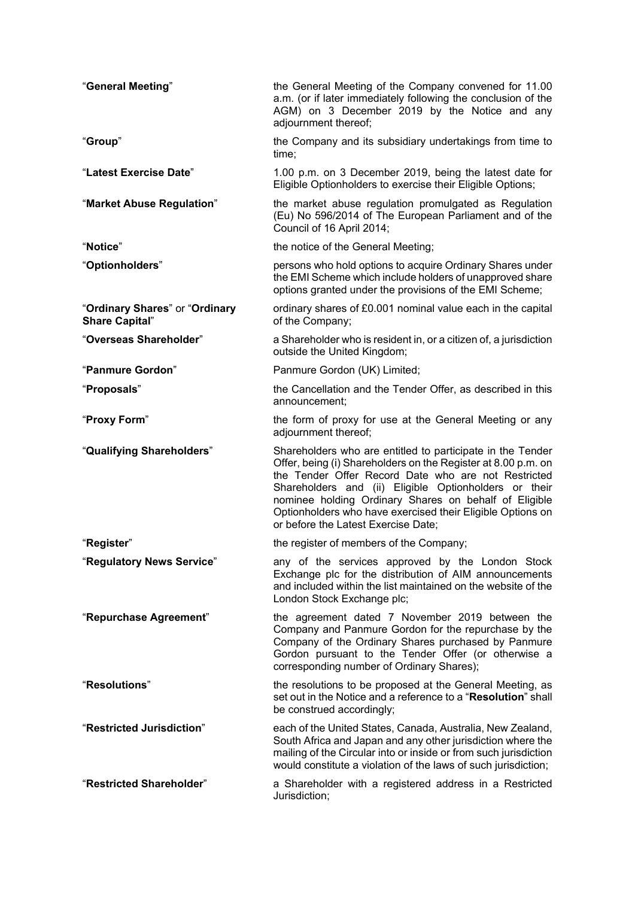| "General Meeting"                                       | the General Meeting of the Company convened for 11.00<br>a.m. (or if later immediately following the conclusion of the<br>AGM) on 3 December 2019 by the Notice and any<br>adjournment thereof;                                                                                                                                                                                                           |
|---------------------------------------------------------|-----------------------------------------------------------------------------------------------------------------------------------------------------------------------------------------------------------------------------------------------------------------------------------------------------------------------------------------------------------------------------------------------------------|
| "Group"                                                 | the Company and its subsidiary undertakings from time to<br>time;                                                                                                                                                                                                                                                                                                                                         |
| "Latest Exercise Date"                                  | 1.00 p.m. on 3 December 2019, being the latest date for<br>Eligible Optionholders to exercise their Eligible Options;                                                                                                                                                                                                                                                                                     |
| "Market Abuse Regulation"                               | the market abuse regulation promulgated as Regulation<br>(Eu) No 596/2014 of The European Parliament and of the<br>Council of 16 April 2014;                                                                                                                                                                                                                                                              |
| "Notice"                                                | the notice of the General Meeting;                                                                                                                                                                                                                                                                                                                                                                        |
| "Optionholders"                                         | persons who hold options to acquire Ordinary Shares under<br>the EMI Scheme which include holders of unapproved share<br>options granted under the provisions of the EMI Scheme;                                                                                                                                                                                                                          |
| "Ordinary Shares" or "Ordinary<br><b>Share Capital"</b> | ordinary shares of £0.001 nominal value each in the capital<br>of the Company;                                                                                                                                                                                                                                                                                                                            |
| "Overseas Shareholder"                                  | a Shareholder who is resident in, or a citizen of, a jurisdiction<br>outside the United Kingdom;                                                                                                                                                                                                                                                                                                          |
| "Panmure Gordon"                                        | Panmure Gordon (UK) Limited;                                                                                                                                                                                                                                                                                                                                                                              |
| "Proposals"                                             | the Cancellation and the Tender Offer, as described in this<br>announcement:                                                                                                                                                                                                                                                                                                                              |
| "Proxy Form"                                            | the form of proxy for use at the General Meeting or any<br>adjournment thereof;                                                                                                                                                                                                                                                                                                                           |
| "Qualifying Shareholders"                               | Shareholders who are entitled to participate in the Tender<br>Offer, being (i) Shareholders on the Register at 8.00 p.m. on<br>the Tender Offer Record Date who are not Restricted<br>Shareholders and (ii) Eligible Optionholders or their<br>nominee holding Ordinary Shares on behalf of Eligible<br>Optionholders who have exercised their Eligible Options on<br>or before the Latest Exercise Date; |
| "Register"                                              | the register of members of the Company;                                                                                                                                                                                                                                                                                                                                                                   |
| "Regulatory News Service"                               | any of the services approved by the London Stock<br>Exchange plc for the distribution of AIM announcements<br>and included within the list maintained on the website of the<br>London Stock Exchange plc;                                                                                                                                                                                                 |
| "Repurchase Agreement"                                  | the agreement dated 7 November 2019 between the<br>Company and Panmure Gordon for the repurchase by the<br>Company of the Ordinary Shares purchased by Panmure<br>Gordon pursuant to the Tender Offer (or otherwise a<br>corresponding number of Ordinary Shares);                                                                                                                                        |
| "Resolutions"                                           | the resolutions to be proposed at the General Meeting, as<br>set out in the Notice and a reference to a " <b>Resolution</b> " shall<br>be construed accordingly;                                                                                                                                                                                                                                          |
| "Restricted Jurisdiction"                               | each of the United States, Canada, Australia, New Zealand,<br>South Africa and Japan and any other jurisdiction where the<br>mailing of the Circular into or inside or from such jurisdiction<br>would constitute a violation of the laws of such jurisdiction;                                                                                                                                           |
| "Restricted Shareholder"                                | a Shareholder with a registered address in a Restricted<br>Jurisdiction;                                                                                                                                                                                                                                                                                                                                  |